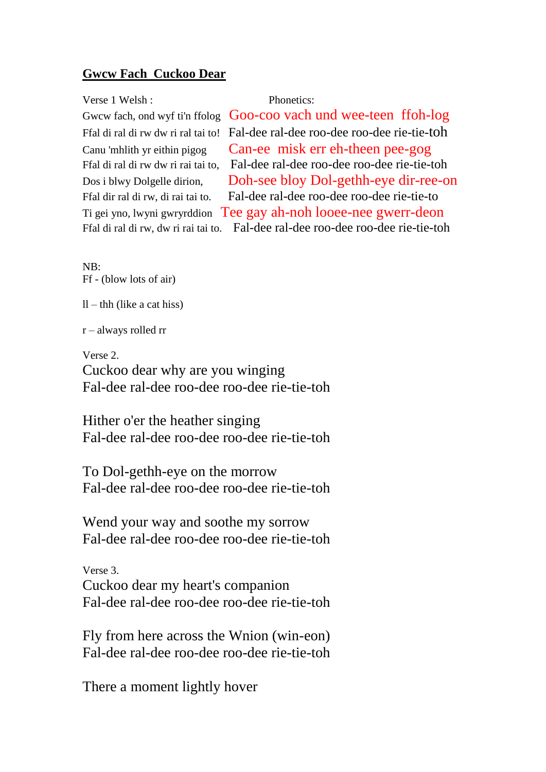## **Gwcw Fach Cuckoo Dear**

| Verse 1 Welsh :                     | Phonetics:                                                                       |
|-------------------------------------|----------------------------------------------------------------------------------|
|                                     | Gwcw fach, ond wyf ti'n ffolog $\Gamma$ Goo-coo vach und wee-teen ffoh-log       |
|                                     | Ffal di ral di rw dw ri ral tai to! Fal-dee ral-dee roo-dee roo-dee rie-tie-toh  |
| Canu 'mhlith yr eithin pigog        | Can-ee misk err eh-theen pee-gog                                                 |
| Ffal di ral di rw dw ri rai tai to, | Fal-dee ral-dee roo-dee roo-dee rie-tie-toh                                      |
| Dos i blwy Dolgelle dirion,         | Doh-see bloy Dol-gethh-eye dir-ree-on                                            |
| Ffal dir ral di rw, di rai tai to.  | Fal-dee ral-dee roo-dee roo-dee rie-tie-to                                       |
|                                     | Ti gei yno, lwyni gwryrddion Tee gay ah-noh looee-nee gwerr-deon                 |
|                                     | Ffal di ral di rw, dw ri rai tai to. Fal-dee ral-dee roo-dee roo-dee rie-tie-toh |

NB: Ff - (blow lots of air)

 $ll -$  thh (like a cat hiss)

r – always rolled rr

Verse 2. Cuckoo dear why are you winging Fal-dee ral-dee roo-dee roo-dee rie-tie-toh

Hither o'er the heather singing Fal-dee ral-dee roo-dee roo-dee rie-tie-toh

To Dol-gethh-eye on the morrow Fal-dee ral-dee roo-dee roo-dee rie-tie-toh

Wend your way and soothe my sorrow Fal-dee ral-dee roo-dee roo-dee rie-tie-toh

Verse 3. Cuckoo dear my heart's companion Fal-dee ral-dee roo-dee roo-dee rie-tie-toh

Fly from here across the Wnion (win-eon) Fal-dee ral-dee roo-dee roo-dee rie-tie-toh

There a moment lightly hover